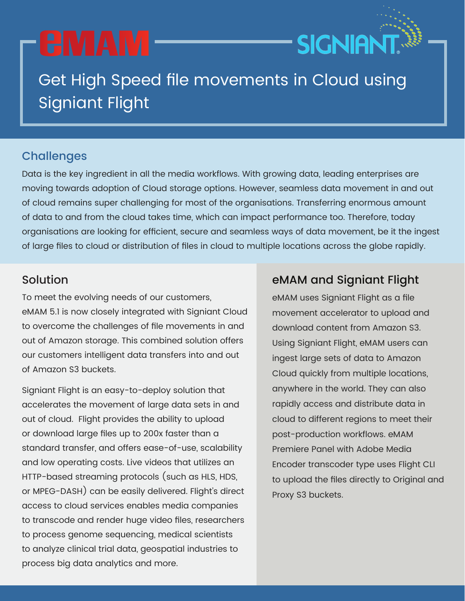# **CMAM**

## Get High Speed file movements in Cloud using Signiant Flight

### **Challenges**

Data is the key ingredient in all the media workflows. With growing data, leading enterprises are moving towards adoption of Cloud storage options. However, seamless data movement in and out of cloud remains super challenging for most of the organisations. Transferring enormous amount of data to and from the cloud takes time, which can impact performance too. Therefore, today organisations are looking for efficient, secure and seamless ways of data movement, be it the ingest of large files to cloud or distribution of files in cloud to multiple locations across the globe rapidly.

To meet the evolving needs of our customers, eMAM 5.1 is now closely integrated with Signiant Cloud to overcome the challenges of file movements in and out of Amazon storage. This combined solution offers our customers intelligent data transfers into and out of Amazon S3 buckets.

Signiant Flight is an easy-to-deploy solution that accelerates the movement of large data sets in and out of cloud. Flight provides the ability to upload or download large files up to 200x faster than a standard transfer, and offers ease-of-use, scalability and low operating costs. Live videos that utilizes an HTTP-based streaming protocols (such as HLS, HDS, or MPEG-DASH) can be easily delivered. Flight's direct access to cloud services enables media companies to transcode and render huge video files, researchers to process genome sequencing, medical scientists to analyze clinical trial data, geospatial industries to process big data analytics and more.

#### Solution eMAM and Signiant Flight

**SIGNIANT** 

eMAM uses Signiant Flight as a file movement accelerator to upload and download content from Amazon S3. Using Signiant Flight, eMAM users can ingest large sets of data to Amazon Cloud quickly from multiple locations, anywhere in the world. They can also rapidly access and distribute data in cloud to different regions to meet their post-production workflows. eMAM Premiere Panel with Adobe Media Encoder transcoder type uses Flight CLI to upload the files directly to Original and Proxy S3 buckets.